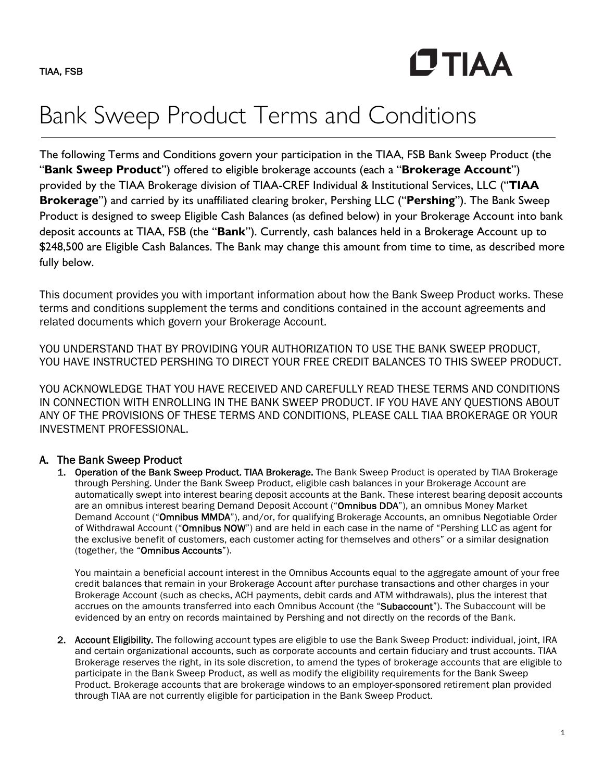**OTIAA** 

# Bank Sweep Product Terms and Conditions

The following Terms and Conditions govern your participation in the TIAA, FSB Bank Sweep Product (the "**Bank Sweep Product**") offered to eligible brokerage accounts (each a "**Brokerage Account**") provided by the TIAA Brokerage division of TIAA-CREF Individual & Institutional Services, LLC ("**TIAA Brokerage**") and carried by its unaffiliated clearing broker, Pershing LLC ("**Pershing**"). The Bank Sweep Product is designed to sweep Eligible Cash Balances (as defined below) in your Brokerage Account into bank deposit accounts at TIAA, FSB (the "**Bank**"). Currently, cash balances held in a Brokerage Account up to \$248,500 are Eligible Cash Balances. The Bank may change this amount from time to time, as described more fully below.

This document provides you with important information about how the Bank Sweep Product works. These terms and conditions supplement the terms and conditions contained in the account agreements and related documents which govern your Brokerage Account.

YOU UNDERSTAND THAT BY PROVIDING YOUR AUTHORIZATION TO USE THE BANK SWEEP PRODUCT, YOU HAVE INSTRUCTED PERSHING TO DIRECT YOUR FREE CREDIT BALANCES TO THIS SWEEP PRODUCT.

YOU ACKNOWLEDGE THAT YOU HAVE RECEIVED AND CAREFULLY READ THESE TERMS AND CONDITIONS IN CONNECTION WITH ENROLLING IN THE BANK SWEEP PRODUCT. IF YOU HAVE ANY QUESTIONS ABOUT ANY OF THE PROVISIONS OF THESE TERMS AND CONDITIONS, PLEASE CALL TIAA BROKERAGE OR YOUR INVESTMENT PROFESSIONAL.

## A. The Bank Sweep Product

1. Operation of the Bank Sweep Product. TIAA Brokerage. The Bank Sweep Product is operated by TIAA Brokerage through Pershing. Under the Bank Sweep Product, eligible cash balances in your Brokerage Account are automatically swept into interest bearing deposit accounts at the Bank. These interest bearing deposit accounts are an omnibus interest bearing Demand Deposit Account ("Omnibus DDA"), an omnibus Money Market Demand Account ("Omnibus MMDA"), and/or, for qualifying Brokerage Accounts, an omnibus Negotiable Order of Withdrawal Account ("Omnibus NOW") and are held in each case in the name of "Pershing LLC as agent for the exclusive benefit of customers, each customer acting for themselves and others" or a similar designation (together, the "Omnibus Accounts").

You maintain a beneficial account interest in the Omnibus Accounts equal to the aggregate amount of your free credit balances that remain in your Brokerage Account after purchase transactions and other charges in your Brokerage Account (such as checks, ACH payments, debit cards and ATM withdrawals), plus the interest that accrues on the amounts transferred into each Omnibus Account (the "Subaccount"). The Subaccount will be evidenced by an entry on records maintained by Pershing and not directly on the records of the Bank.

2. Account Eligibility. The following account types are eligible to use the Bank Sweep Product: individual, joint, IRA and certain organizational accounts, such as corporate accounts and certain fiduciary and trust accounts. TIAA Brokerage reserves the right, in its sole discretion, to amend the types of brokerage accounts that are eligible to participate in the Bank Sweep Product, as well as modify the eligibility requirements for the Bank Sweep Product. Brokerage accounts that are brokerage windows to an employer-sponsored retirement plan provided through TIAA are not currently eligible for participation in the Bank Sweep Product.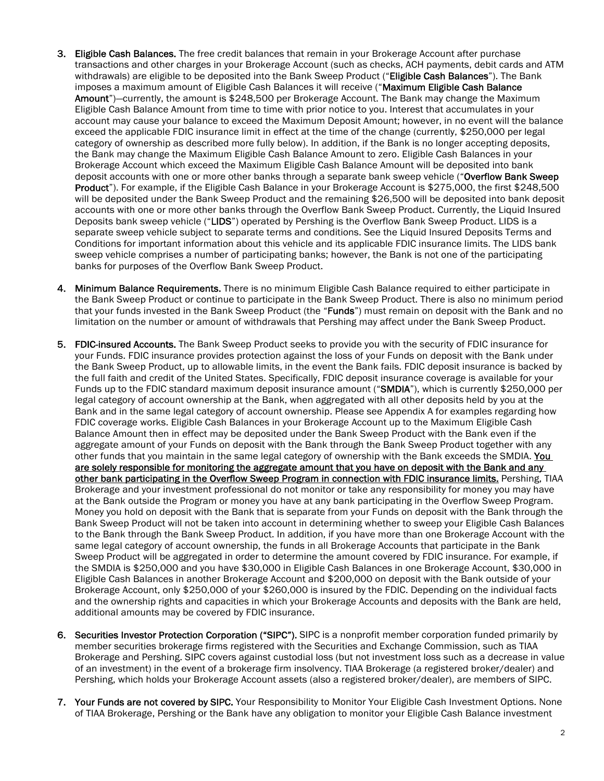- 3. Eligible Cash Balances. The free credit balances that remain in your Brokerage Account after purchase transactions and other charges in your Brokerage Account (such as checks, ACH payments, debit cards and ATM withdrawals) are eligible to be deposited into the Bank Sweep Product ("Eligible Cash Balances"). The Bank imposes a maximum amount of Eligible Cash Balances it will receive ("Maximum Eligible Cash Balance Amount")—currently, the amount is \$248,500 per Brokerage Account. The Bank may change the Maximum Eligible Cash Balance Amount from time to time with prior notice to you. Interest that accumulates in your account may cause your balance to exceed the Maximum Deposit Amount; however, in no event will the balance exceed the applicable FDIC insurance limit in effect at the time of the change (currently, \$250,000 per legal category of ownership as described more fully below). In addition, if the Bank is no longer accepting deposits, the Bank may change the Maximum Eligible Cash Balance Amount to zero. Eligible Cash Balances in your Brokerage Account which exceed the Maximum Eligible Cash Balance Amount will be deposited into bank deposit accounts with one or more other banks through a separate bank sweep vehicle ("Overflow Bank Sweep Product"). For example, if the Eligible Cash Balance in your Brokerage Account is \$275,000, the first \$248,500 will be deposited under the Bank Sweep Product and the remaining \$26,500 will be deposited into bank deposit accounts with one or more other banks through the Overflow Bank Sweep Product. Currently, the Liquid Insured Deposits bank sweep vehicle ("LIDS") operated by Pershing is the Overflow Bank Sweep Product. LIDS is a separate sweep vehicle subject to separate terms and conditions. See the Liquid Insured Deposits Terms and Conditions for important information about this vehicle and its applicable FDIC insurance limits. The LIDS bank sweep vehicle comprises a number of participating banks; however, the Bank is not one of the participating banks for purposes of the Overflow Bank Sweep Product.
- 4. Minimum Balance Requirements. There is no minimum Eligible Cash Balance required to either participate in the Bank Sweep Product or continue to participate in the Bank Sweep Product. There is also no minimum period that your funds invested in the Bank Sweep Product (the "Funds") must remain on deposit with the Bank and no limitation on the number or amount of withdrawals that Pershing may affect under the Bank Sweep Product.
- 5. FDIC-insured Accounts. The Bank Sweep Product seeks to provide you with the security of FDIC insurance for your Funds. FDIC insurance provides protection against the loss of your Funds on deposit with the Bank under the Bank Sweep Product, up to allowable limits, in the event the Bank fails. FDIC deposit insurance is backed by the full faith and credit of the United States. Specifically, FDIC deposit insurance coverage is available for your Funds up to the FDIC standard maximum deposit insurance amount ("SMDIA"), which is currently \$250,000 per legal category of account ownership at the Bank, when aggregated with all other deposits held by you at the Bank and in the same legal category of account ownership. Please see Appendix A for examples regarding how FDIC coverage works. Eligible Cash Balances in your Brokerage Account up to the Maximum Eligible Cash Balance Amount then in effect may be deposited under the Bank Sweep Product with the Bank even if the aggregate amount of your Funds on deposit with the Bank through the Bank Sweep Product together with any other funds that you maintain in the same legal category of ownership with the Bank exceeds the SMDIA. You are solely responsible for monitoring the aggregate amount that you have on deposit with the Bank and any other bank participating in the Overflow Sweep Program in connection with FDIC insurance limits. Pershing, TIAA Brokerage and your investment professional do not monitor or take any responsibility for money you may have at the Bank outside the Program or money you have at any bank participating in the Overflow Sweep Program. Money you hold on deposit with the Bank that is separate from your Funds on deposit with the Bank through the Bank Sweep Product will not be taken into account in determining whether to sweep your Eligible Cash Balances to the Bank through the Bank Sweep Product. In addition, if you have more than one Brokerage Account with the same legal category of account ownership, the funds in all Brokerage Accounts that participate in the Bank Sweep Product will be aggregated in order to determine the amount covered by FDIC insurance. For example, if the SMDIA is \$250,000 and you have \$30,000 in Eligible Cash Balances in one Brokerage Account, \$30,000 in Eligible Cash Balances in another Brokerage Account and \$200,000 on deposit with the Bank outside of your Brokerage Account, only \$250,000 of your \$260,000 is insured by the FDIC. Depending on the individual facts and the ownership rights and capacities in which your Brokerage Accounts and deposits with the Bank are held, additional amounts may be covered by FDIC insurance.
- 6. Securities Investor Protection Corporation ("SIPC"). SIPC is a nonprofit member corporation funded primarily by member securities brokerage firms registered with the Securities and Exchange Commission, such as TIAA Brokerage and Pershing. SIPC covers against custodial loss (but not investment loss such as a decrease in value of an investment) in the event of a brokerage firm insolvency. TIAA Brokerage (a registered broker/dealer) and Pershing, which holds your Brokerage Account assets (also a registered broker/dealer), are members of SIPC.
- 7. Your Funds are not covered by SIPC. Your Responsibility to Monitor Your Eligible Cash Investment Options. None of TIAA Brokerage, Pershing or the Bank have any obligation to monitor your Eligible Cash Balance investment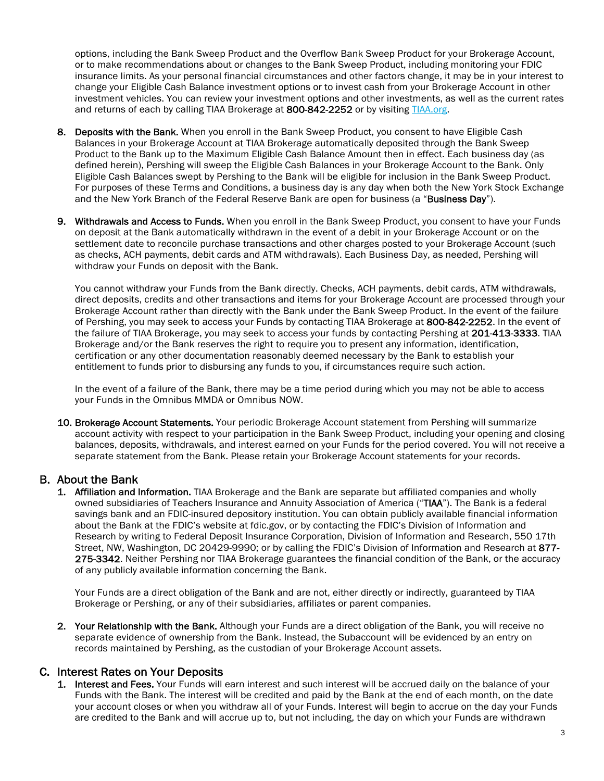options, including the Bank Sweep Product and the Overflow Bank Sweep Product for your Brokerage Account, or to make recommendations about or changes to the Bank Sweep Product, including monitoring your FDIC insurance limits. As your personal financial circumstances and other factors change, it may be in your interest to change your Eligible Cash Balance investment options or to invest cash from your Brokerage Account in other investment vehicles. You can review your investment options and other investments, as well as the current rates and returns of each by calling TIAA Brokerage at 800-842-2252 or by visiting TIAA.org.

- 8. Deposits with the Bank. When you enroll in the Bank Sweep Product, you consent to have Eligible Cash Balances in your Brokerage Account at TIAA Brokerage automatically deposited through the Bank Sweep Product to the Bank up to the Maximum Eligible Cash Balance Amount then in effect. Each business day (as defined herein), Pershing will sweep the Eligible Cash Balances in your Brokerage Account to the Bank. Only Eligible Cash Balances swept by Pershing to the Bank will be eligible for inclusion in the Bank Sweep Product. For purposes of these Terms and Conditions, a business day is any day when both the New York Stock Exchange and the New York Branch of the Federal Reserve Bank are open for business (a "Business Day").
- 9. Withdrawals and Access to Funds. When you enroll in the Bank Sweep Product, you consent to have your Funds on deposit at the Bank automatically withdrawn in the event of a debit in your Brokerage Account or on the settlement date to reconcile purchase transactions and other charges posted to your Brokerage Account (such as checks, ACH payments, debit cards and ATM withdrawals). Each Business Day, as needed, Pershing will withdraw your Funds on deposit with the Bank.

You cannot withdraw your Funds from the Bank directly. Checks, ACH payments, debit cards, ATM withdrawals, direct deposits, credits and other transactions and items for your Brokerage Account are processed through your Brokerage Account rather than directly with the Bank under the Bank Sweep Product. In the event of the failure of Pershing, you may seek to access your Funds by contacting TIAA Brokerage at 800-842-2252. In the event of the failure of TIAA Brokerage, you may seek to access your funds by contacting Pershing at 201-413-3333. TIAA Brokerage and/or the Bank reserves the right to require you to present any information, identification, certification or any other documentation reasonably deemed necessary by the Bank to establish your entitlement to funds prior to disbursing any funds to you, if circumstances require such action.

In the event of a failure of the Bank, there may be a time period during which you may not be able to access your Funds in the Omnibus MMDA or Omnibus NOW.

10. Brokerage Account Statements. Your periodic Brokerage Account statement from Pershing will summarize account activity with respect to your participation in the Bank Sweep Product, including your opening and closing balances, deposits, withdrawals, and interest earned on your Funds for the period covered. You will not receive a separate statement from the Bank. Please retain your Brokerage Account statements for your records.

#### B. About the Bank

1. Affiliation and Information. TIAA Brokerage and the Bank are separate but affiliated companies and wholly owned subsidiaries of Teachers Insurance and Annuity Association of America ("TIAA"). The Bank is a federal savings bank and an FDIC-insured depository institution. You can obtain publicly available financial information about the Bank at the FDIC's website at fdic.gov, or by contacting the FDIC's Division of Information and Research by writing to Federal Deposit Insurance Corporation, Division of Information and Research, 550 17th Street, NW, Washington, DC 20429-9990; or by calling the FDIC's Division of Information and Research at 877- 275-3342. Neither Pershing nor TIAA Brokerage guarantees the financial condition of the Bank, or the accuracy of any publicly available information concerning the Bank.

Your Funds are a direct obligation of the Bank and are not, either directly or indirectly, guaranteed by TIAA Brokerage or Pershing, or any of their subsidiaries, affiliates or parent companies.

2. Your Relationship with the Bank. Although your Funds are a direct obligation of the Bank, you will receive no separate evidence of ownership from the Bank. Instead, the Subaccount will be evidenced by an entry on records maintained by Pershing, as the custodian of your Brokerage Account assets.

#### C. Interest Rates on Your Deposits

1. Interest and Fees. Your Funds will earn interest and such interest will be accrued daily on the balance of your Funds with the Bank. The interest will be credited and paid by the Bank at the end of each month, on the date your account closes or when you withdraw all of your Funds. Interest will begin to accrue on the day your Funds are credited to the Bank and will accrue up to, but not including, the day on which your Funds are withdrawn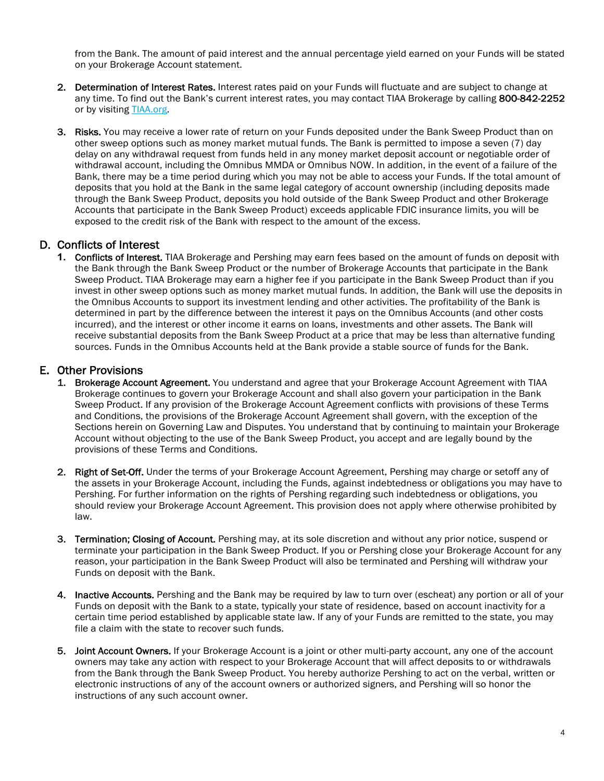from the Bank. The amount of paid interest and the annual percentage yield earned on your Funds will be stated on your Brokerage Account statement.

- 2. Determination of Interest Rates. Interest rates paid on your Funds will fluctuate and are subject to change at any time. To find out the Bank's current interest rates, you may contact TIAA Brokerage by calling 800-842-2252 or by visiting TIAA.org.
- 3. Risks. You may receive a lower rate of return on your Funds deposited under the Bank Sweep Product than on other sweep options such as money market mutual funds. The Bank is permitted to impose a seven (7) day delay on any withdrawal request from funds held in any money market deposit account or negotiable order of withdrawal account, including the Omnibus MMDA or Omnibus NOW. In addition, in the event of a failure of the Bank, there may be a time period during which you may not be able to access your Funds. If the total amount of deposits that you hold at the Bank in the same legal category of account ownership (including deposits made through the Bank Sweep Product, deposits you hold outside of the Bank Sweep Product and other Brokerage Accounts that participate in the Bank Sweep Product) exceeds applicable FDIC insurance limits, you will be exposed to the credit risk of the Bank with respect to the amount of the excess.

## D. Conflicts of Interest

**1.** Conflicts of Interest. TIAA Brokerage and Pershing may earn fees based on the amount of funds on deposit with the Bank through the Bank Sweep Product or the number of Brokerage Accounts that participate in the Bank Sweep Product. TIAA Brokerage may earn a higher fee if you participate in the Bank Sweep Product than if you invest in other sweep options such as money market mutual funds. In addition, the Bank will use the deposits in the Omnibus Accounts to support its investment lending and other activities. The profitability of the Bank is determined in part by the difference between the interest it pays on the Omnibus Accounts (and other costs incurred), and the interest or other income it earns on loans, investments and other assets. The Bank will receive substantial deposits from the Bank Sweep Product at a price that may be less than alternative funding sources. Funds in the Omnibus Accounts held at the Bank provide a stable source of funds for the Bank.

## E. Other Provisions

- 1. Brokerage Account Agreement. You understand and agree that your Brokerage Account Agreement with TIAA Brokerage continues to govern your Brokerage Account and shall also govern your participation in the Bank Sweep Product. If any provision of the Brokerage Account Agreement conflicts with provisions of these Terms and Conditions, the provisions of the Brokerage Account Agreement shall govern, with the exception of the Sections herein on Governing Law and Disputes. You understand that by continuing to maintain your Brokerage Account without objecting to the use of the Bank Sweep Product, you accept and are legally bound by the provisions of these Terms and Conditions.
- 2. Right of Set-Off. Under the terms of your Brokerage Account Agreement, Pershing may charge or setoff any of the assets in your Brokerage Account, including the Funds, against indebtedness or obligations you may have to Pershing. For further information on the rights of Pershing regarding such indebtedness or obligations, you should review your Brokerage Account Agreement. This provision does not apply where otherwise prohibited by law.
- 3. Termination; Closing of Account. Pershing may, at its sole discretion and without any prior notice, suspend or terminate your participation in the Bank Sweep Product. If you or Pershing close your Brokerage Account for any reason, your participation in the Bank Sweep Product will also be terminated and Pershing will withdraw your Funds on deposit with the Bank.
- 4. Inactive Accounts. Pershing and the Bank may be required by law to turn over (escheat) any portion or all of your Funds on deposit with the Bank to a state, typically your state of residence, based on account inactivity for a certain time period established by applicable state law. If any of your Funds are remitted to the state, you may file a claim with the state to recover such funds.
- 5. Joint Account Owners. If your Brokerage Account is a joint or other multi-party account, any one of the account owners may take any action with respect to your Brokerage Account that will affect deposits to or withdrawals from the Bank through the Bank Sweep Product. You hereby authorize Pershing to act on the verbal, written or electronic instructions of any of the account owners or authorized signers, and Pershing will so honor the instructions of any such account owner.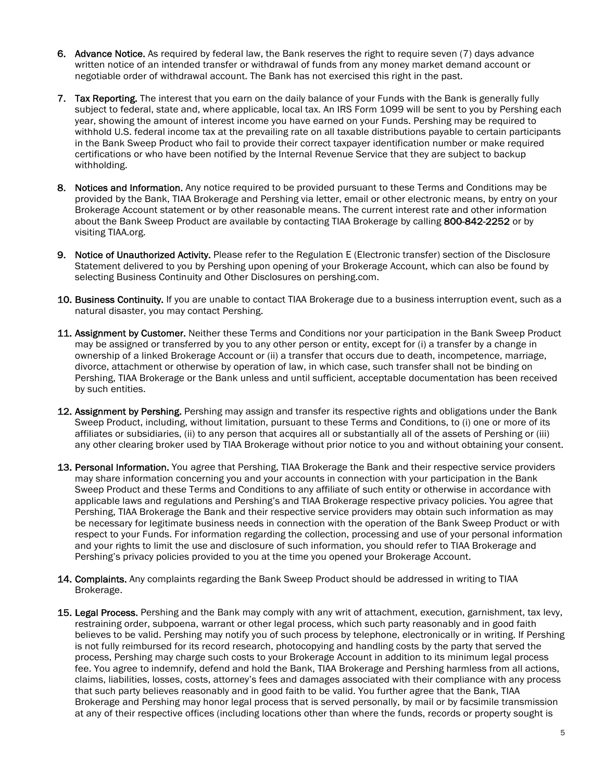- 6. Advance Notice. As required by federal law, the Bank reserves the right to require seven (7) days advance written notice of an intended transfer or withdrawal of funds from any money market demand account or negotiable order of withdrawal account. The Bank has not exercised this right in the past.
- 7. Tax Reporting. The interest that you earn on the daily balance of your Funds with the Bank is generally fully subject to federal, state and, where applicable, local tax. An IRS Form 1099 will be sent to you by Pershing each year, showing the amount of interest income you have earned on your Funds. Pershing may be required to withhold U.S. federal income tax at the prevailing rate on all taxable distributions payable to certain participants in the Bank Sweep Product who fail to provide their correct taxpayer identification number or make required certifications or who have been notified by the Internal Revenue Service that they are subject to backup withholding.
- 8. Notices and Information. Any notice required to be provided pursuant to these Terms and Conditions may be provided by the Bank, TIAA Brokerage and Pershing via letter, email or other electronic means, by entry on your Brokerage Account statement or by other reasonable means. The current interest rate and other information about the Bank Sweep Product are available by contacting TIAA Brokerage by calling 800-842-2252 or by visiting TIAA.org.
- 9. Notice of Unauthorized Activity. Please refer to the Regulation E (Electronic transfer) section of the Disclosure Statement delivered to you by Pershing upon opening of your Brokerage Account, which can also be found by selecting Business Continuity and Other Disclosures on pershing.com.
- 10. Business Continuity. If you are unable to contact TIAA Brokerage due to a business interruption event, such as a natural disaster, you may contact Pershing.
- 11. Assignment by Customer. Neither these Terms and Conditions nor your participation in the Bank Sweep Product may be assigned or transferred by you to any other person or entity, except for (i) a transfer by a change in ownership of a linked Brokerage Account or (ii) a transfer that occurs due to death, incompetence, marriage, divorce, attachment or otherwise by operation of law, in which case, such transfer shall not be binding on Pershing, TIAA Brokerage or the Bank unless and until sufficient, acceptable documentation has been received by such entities.
- 12. Assignment by Pershing. Pershing may assign and transfer its respective rights and obligations under the Bank Sweep Product, including, without limitation, pursuant to these Terms and Conditions, to (i) one or more of its affiliates or subsidiaries, (ii) to any person that acquires all or substantially all of the assets of Pershing or (iii) any other clearing broker used by TIAA Brokerage without prior notice to you and without obtaining your consent.
- 13. Personal Information. You agree that Pershing, TIAA Brokerage the Bank and their respective service providers may share information concerning you and your accounts in connection with your participation in the Bank Sweep Product and these Terms and Conditions to any affiliate of such entity or otherwise in accordance with applicable laws and regulations and Pershing's and TIAA Brokerage respective privacy policies. You agree that Pershing, TIAA Brokerage the Bank and their respective service providers may obtain such information as may be necessary for legitimate business needs in connection with the operation of the Bank Sweep Product or with respect to your Funds. For information regarding the collection, processing and use of your personal information and your rights to limit the use and disclosure of such information, you should refer to TIAA Brokerage and Pershing's privacy policies provided to you at the time you opened your Brokerage Account.
- 14. Complaints. Any complaints regarding the Bank Sweep Product should be addressed in writing to TIAA Brokerage.
- 15. Legal Process. Pershing and the Bank may comply with any writ of attachment, execution, garnishment, tax levy, restraining order, subpoena, warrant or other legal process, which such party reasonably and in good faith believes to be valid. Pershing may notify you of such process by telephone, electronically or in writing. If Pershing is not fully reimbursed for its record research, photocopying and handling costs by the party that served the process, Pershing may charge such costs to your Brokerage Account in addition to its minimum legal process fee. You agree to indemnify, defend and hold the Bank, TIAA Brokerage and Pershing harmless from all actions, claims, liabilities, losses, costs, attorney's fees and damages associated with their compliance with any process that such party believes reasonably and in good faith to be valid. You further agree that the Bank, TIAA Brokerage and Pershing may honor legal process that is served personally, by mail or by facsimile transmission at any of their respective offices (including locations other than where the funds, records or property sought is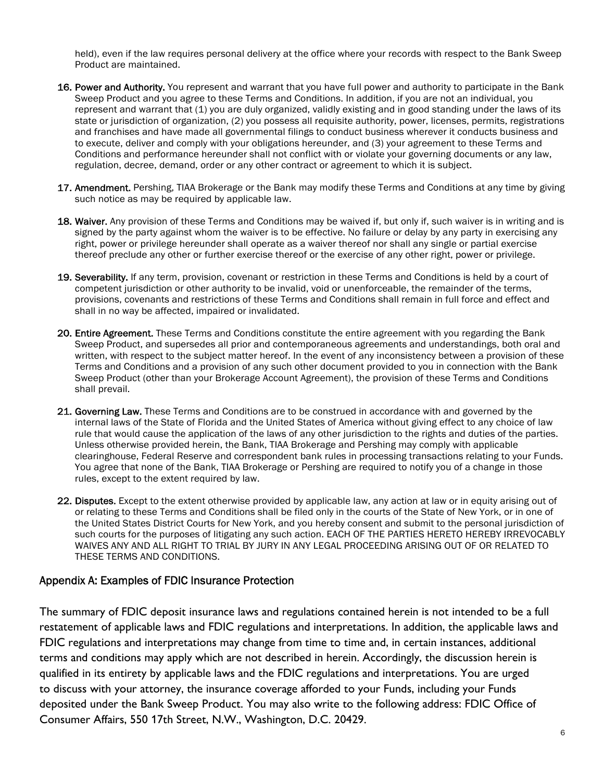held), even if the law requires personal delivery at the office where your records with respect to the Bank Sweep Product are maintained.

- 16. Power and Authority. You represent and warrant that you have full power and authority to participate in the Bank Sweep Product and you agree to these Terms and Conditions. In addition, if you are not an individual, you represent and warrant that (1) you are duly organized, validly existing and in good standing under the laws of its state or jurisdiction of organization, (2) you possess all requisite authority, power, licenses, permits, registrations and franchises and have made all governmental filings to conduct business wherever it conducts business and to execute, deliver and comply with your obligations hereunder, and (3) your agreement to these Terms and Conditions and performance hereunder shall not conflict with or violate your governing documents or any law, regulation, decree, demand, order or any other contract or agreement to which it is subject.
- 17. Amendment. Pershing, TIAA Brokerage or the Bank may modify these Terms and Conditions at any time by giving such notice as may be required by applicable law.
- 18. Waiver. Any provision of these Terms and Conditions may be waived if, but only if, such waiver is in writing and is signed by the party against whom the waiver is to be effective. No failure or delay by any party in exercising any right, power or privilege hereunder shall operate as a waiver thereof nor shall any single or partial exercise thereof preclude any other or further exercise thereof or the exercise of any other right, power or privilege.
- 19. Severability. If any term, provision, covenant or restriction in these Terms and Conditions is held by a court of competent jurisdiction or other authority to be invalid, void or unenforceable, the remainder of the terms, provisions, covenants and restrictions of these Terms and Conditions shall remain in full force and effect and shall in no way be affected, impaired or invalidated.
- 20. Entire Agreement. These Terms and Conditions constitute the entire agreement with you regarding the Bank Sweep Product, and supersedes all prior and contemporaneous agreements and understandings, both oral and written, with respect to the subject matter hereof. In the event of any inconsistency between a provision of these Terms and Conditions and a provision of any such other document provided to you in connection with the Bank Sweep Product (other than your Brokerage Account Agreement), the provision of these Terms and Conditions shall prevail.
- 21. Governing Law. These Terms and Conditions are to be construed in accordance with and governed by the internal laws of the State of Florida and the United States of America without giving effect to any choice of law rule that would cause the application of the laws of any other jurisdiction to the rights and duties of the parties. Unless otherwise provided herein, the Bank, TIAA Brokerage and Pershing may comply with applicable clearinghouse, Federal Reserve and correspondent bank rules in processing transactions relating to your Funds. You agree that none of the Bank, TIAA Brokerage or Pershing are required to notify you of a change in those rules, except to the extent required by law.
- 22. Disputes. Except to the extent otherwise provided by applicable law, any action at law or in equity arising out of or relating to these Terms and Conditions shall be filed only in the courts of the State of New York, or in one of the United States District Courts for New York, and you hereby consent and submit to the personal jurisdiction of such courts for the purposes of litigating any such action. EACH OF THE PARTIES HERETO HEREBY IRREVOCABLY WAIVES ANY AND ALL RIGHT TO TRIAL BY JURY IN ANY LEGAL PROCEEDING ARISING OUT OF OR RELATED TO THESE TERMS AND CONDITIONS.

#### Appendix A: Examples of FDIC Insurance Protection

The summary of FDIC deposit insurance laws and regulations contained herein is not intended to be a full restatement of applicable laws and FDIC regulations and interpretations. In addition, the applicable laws and FDIC regulations and interpretations may change from time to time and, in certain instances, additional terms and conditions may apply which are not described in herein. Accordingly, the discussion herein is qualified in its entirety by applicable laws and the FDIC regulations and interpretations. You are urged to discuss with your attorney, the insurance coverage afforded to your Funds, including your Funds deposited under the Bank Sweep Product. You may also write to the following address: FDIC Office of Consumer Affairs, 550 17th Street, N.W., Washington, D.C. 20429.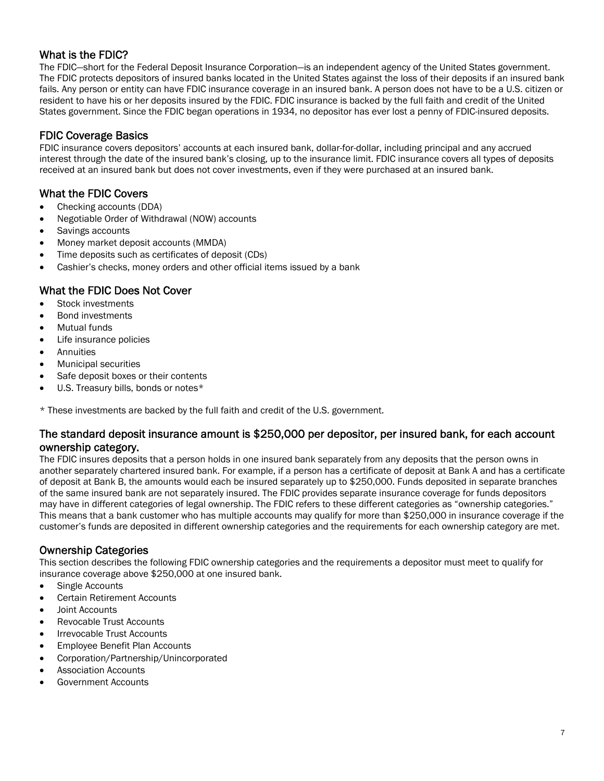## What is the FDIC?

The FDIC—short for the Federal Deposit Insurance Corporation—is an independent agency of the United States government. The FDIC protects depositors of insured banks located in the United States against the loss of their deposits if an insured bank fails. Any person or entity can have FDIC insurance coverage in an insured bank. A person does not have to be a U.S. citizen or resident to have his or her deposits insured by the FDIC. FDIC insurance is backed by the full faith and credit of the United States government. Since the FDIC began operations in 1934, no depositor has ever lost a penny of FDIC-insured deposits.

## FDIC Coverage Basics

FDIC insurance covers depositors' accounts at each insured bank, dollar-for-dollar, including principal and any accrued interest through the date of the insured bank's closing, up to the insurance limit. FDIC insurance covers all types of deposits received at an insured bank but does not cover investments, even if they were purchased at an insured bank.

## What the FDIC Covers

- Checking accounts (DDA)
- Negotiable Order of Withdrawal (NOW) accounts
- Savings accounts
- Money market deposit accounts (MMDA)
- Time deposits such as certificates of deposit (CDs)
- Cashier's checks, money orders and other official items issued by a bank

## What the FDIC Does Not Cover

- Stock investments
- Bond investments
- Mutual funds
- Life insurance policies
- **•** Annuities
- **•** Municipal securities
- Safe deposit boxes or their contents
- U.S. Treasury bills, bonds or notes\*

\* These investments are backed by the full faith and credit of the U.S. government.

#### The standard deposit insurance amount is \$250,000 per depositor, per insured bank, for each account ownership category.

The FDIC insures deposits that a person holds in one insured bank separately from any deposits that the person owns in another separately chartered insured bank. For example, if a person has a certificate of deposit at Bank A and has a certificate of deposit at Bank B, the amounts would each be insured separately up to \$250,000. Funds deposited in separate branches of the same insured bank are not separately insured. The FDIC provides separate insurance coverage for funds depositors may have in different categories of legal ownership. The FDIC refers to these different categories as "ownership categories." This means that a bank customer who has multiple accounts may qualify for more than \$250,000 in insurance coverage if the customer's funds are deposited in different ownership categories and the requirements for each ownership category are met.

#### Ownership Categories

This section describes the following FDIC ownership categories and the requirements a depositor must meet to qualify for insurance coverage above \$250,000 at one insured bank.

- Single Accounts
- Certain Retirement Accounts
- Joint Accounts
- Revocable Trust Accounts
- Irrevocable Trust Accounts
- Employee Benefit Plan Accounts
- Corporation/Partnership/Unincorporated
- **Association Accounts**
- Government Accounts